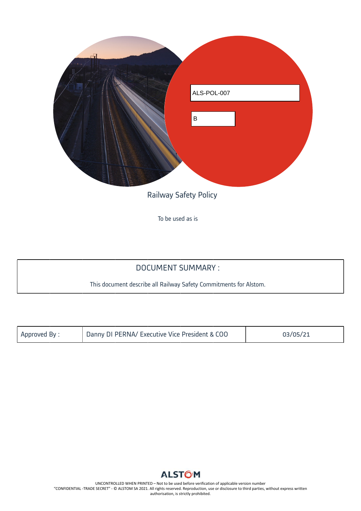

To be used as is

# DOCUMENT SUMMARY :

This document describe all Railway Safety Commitments for Alstom.

| Approved By: | Danny DI PERNA/ Executive Vice President & COO | 03/05/21 |
|--------------|------------------------------------------------|----------|
|              |                                                |          |